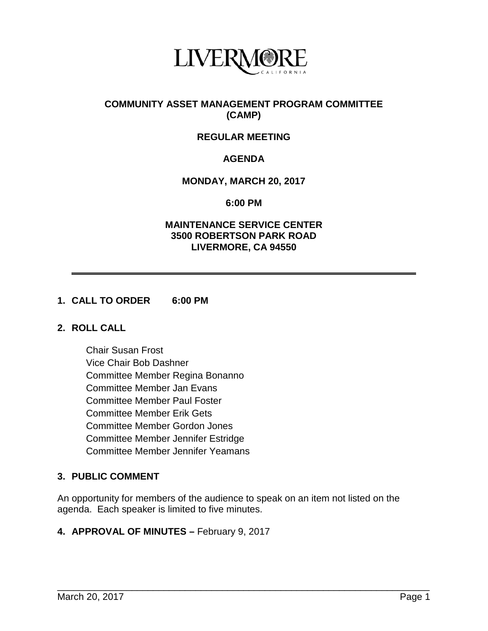

## **COMMUNITY ASSET MANAGEMENT PROGRAM COMMITTEE (CAMP)**

# **REGULAR MEETING**

# **AGENDA**

## **MONDAY, MARCH 20, 2017**

**6:00 PM**

### **MAINTENANCE SERVICE CENTER 3500 ROBERTSON PARK ROAD LIVERMORE, CA 94550**

## **1. CALL TO ORDER 6:00 PM**

#### **2. ROLL CALL**

Chair Susan Frost Vice Chair Bob Dashner Committee Member Regina Bonanno Committee Member Jan Evans Committee Member Paul Foster Committee Member Erik Gets Committee Member Gordon Jones Committee Member Jennifer Estridge Committee Member Jennifer Yeamans

# **3. PUBLIC COMMENT**

An opportunity for members of the audience to speak on an item not listed on the agenda. Each speaker is limited to five minutes.

\_\_\_\_\_\_\_\_\_\_\_\_\_\_\_\_\_\_\_\_\_\_\_\_\_\_\_\_\_\_\_\_\_\_\_\_\_\_\_\_\_\_\_\_\_\_\_\_\_\_\_\_\_\_\_\_\_\_\_\_\_\_\_\_\_\_\_\_\_\_

#### **4. APPROVAL OF MINUTES –** February 9, 2017